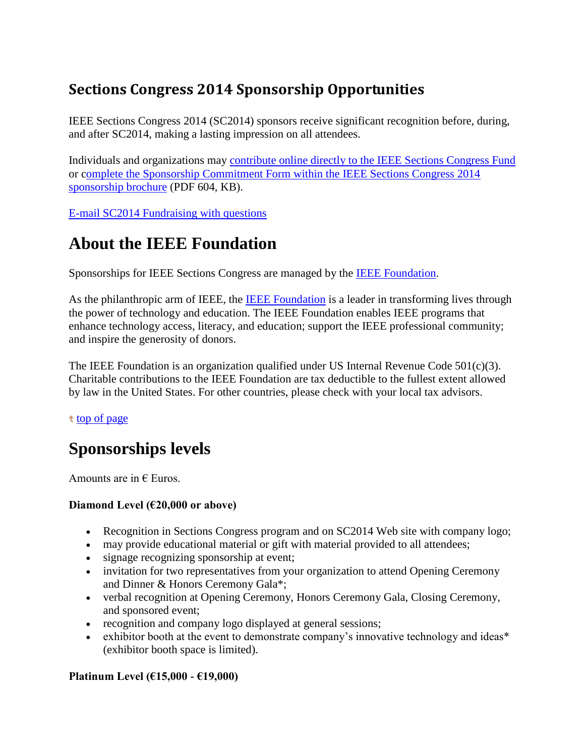### **Sections Congress 2014 Sponsorship Opportunities**

IEEE Sections Congress 2014 (SC2014) sponsors receive significant recognition before, during, and after SC2014, making a lasting impression on all attendees.

Individuals and organizations may [contribute online directly to the IEEE Sections Congress Fund](https://www.ieee.org/organizations/foundation/DonateOnline.html) or [complete the Sponsorship Commitment Form within the IEEE Sections Congress 2014](http://www.ieee.org/societies_communities/geo_activities/sc2014_sponsorship_brochure.pdf)  [sponsorship brochure](http://www.ieee.org/societies_communities/geo_activities/sc2014_sponsorship_brochure.pdf) (PDF 604, KB).

[E-mail SC2014 Fundraising with questions](mailto:sc-fundraising@ieee.org)

### **About the IEEE Foundation**

Sponsorships for IEEE Sections Congress are managed by the [IEEE Foundation.](https://www.ieee.org/organizations/foundation/DonateOnline.html)

As the philanthropic arm of IEEE, the [IEEE Foundation](https://www.ieee.org/organizations/foundation/about.html) is a leader in transforming lives through the power of technology and education. The IEEE Foundation enables IEEE programs that enhance technology access, literacy, and education; support the IEEE professional community; and inspire the generosity of donors.

The IEEE Foundation is an organization qualified under US Internal Revenue Code  $501(c)(3)$ . Charitable contributions to the IEEE Foundation are tax deductible to the fullest extent allowed by law in the United States. For other countries, please check with your local tax advisors.

t [top of page](http://www.ieee.org/societies_communities/geo_activities/sections_congress/2014/sc2014_sponsorship.html#top)

# **Sponsorships levels**

Amounts are in  $\epsilon$  Euros.

### **Diamond Level (€20,000 or above)**

- Recognition in Sections Congress program and on SC2014 Web site with company logo;
- may provide educational material or gift with material provided to all attendees;
- signage recognizing sponsorship at event;
- invitation for two representatives from your organization to attend Opening Ceremony and Dinner & Honors Ceremony Gala\*;
- verbal recognition at Opening Ceremony, Honors Ceremony Gala, Closing Ceremony, and sponsored event;
- recognition and company logo displayed at general sessions;
- exhibitor booth at the event to demonstrate company's innovative technology and ideas\* (exhibitor booth space is limited).

### **Platinum Level (€15,000 - €19,000)**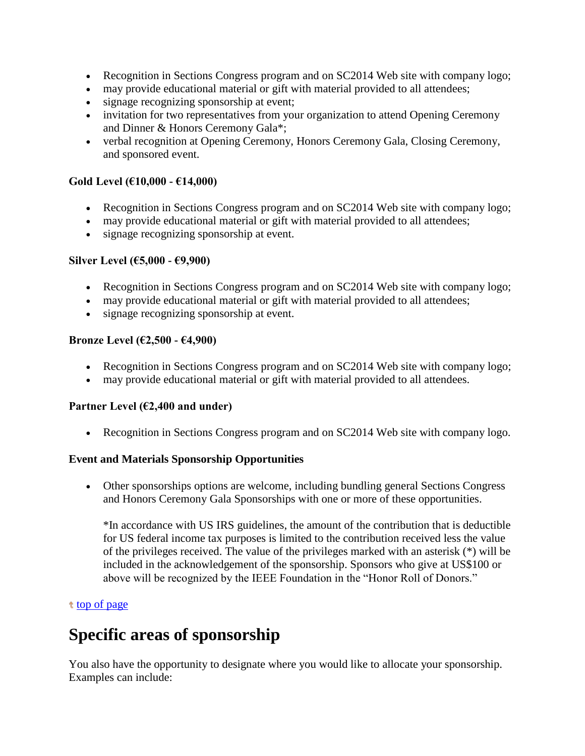- Recognition in Sections Congress program and on SC2014 Web site with company logo;
- may provide educational material or gift with material provided to all attendees;
- signage recognizing sponsorship at event;
- invitation for two representatives from your organization to attend Opening Ceremony and Dinner & Honors Ceremony Gala\*;
- verbal recognition at Opening Ceremony, Honors Ceremony Gala, Closing Ceremony, and sponsored event.

#### **Gold Level (€10,000 - €14,000)**

- Recognition in Sections Congress program and on SC2014 Web site with company logo;
- may provide educational material or gift with material provided to all attendees;
- signage recognizing sponsorship at event.

#### **Silver Level (€5,000 - €9,900)**

- Recognition in Sections Congress program and on SC2014 Web site with company logo;
- may provide educational material or gift with material provided to all attendees;
- signage recognizing sponsorship at event.

#### **Bronze Level (€2,500 - €4,900)**

- Recognition in Sections Congress program and on SC2014 Web site with company logo;
- may provide educational material or gift with material provided to all attendees.

#### **Partner Level (€2,400 and under)**

Recognition in Sections Congress program and on SC2014 Web site with company logo.

#### **Event and Materials Sponsorship Opportunities**

 Other sponsorships options are welcome, including bundling general Sections Congress and Honors Ceremony Gala Sponsorships with one or more of these opportunities.

\*In accordance with US IRS guidelines, the amount of the contribution that is deductible for US federal income tax purposes is limited to the contribution received less the value of the privileges received. The value of the privileges marked with an asterisk (\*) will be included in the acknowledgement of the sponsorship. Sponsors who give at US\$100 or above will be recognized by the IEEE Foundation in the "Honor Roll of Donors."

#### t [top of page](http://www.ieee.org/societies_communities/geo_activities/sections_congress/2014/sc2014_sponsorship.html#top)

### **Specific areas of sponsorship**

You also have the opportunity to designate where you would like to allocate your sponsorship. Examples can include: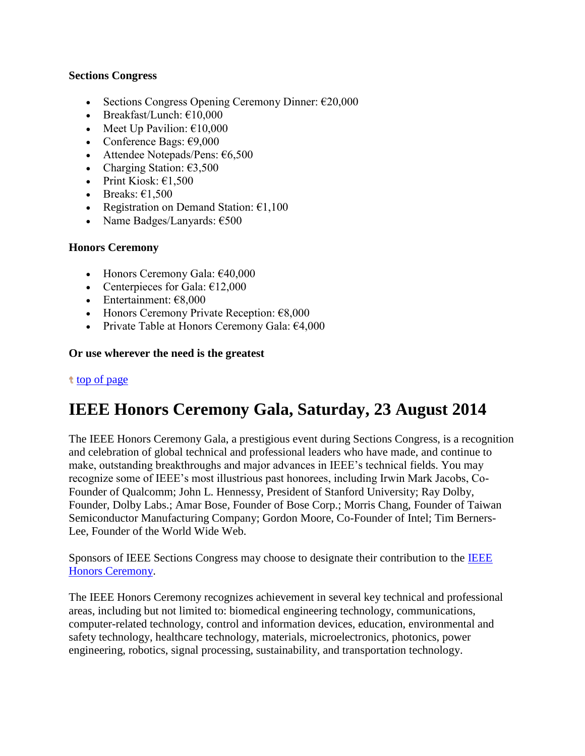#### **Sections Congress**

- Sections Congress Opening Ceremony Dinner:  $\epsilon$ 20,000
- Breakfast/Lunch:  $£10,000$
- Meet Up Pavilion:  $€10,000$
- Conference Bags:  $€9,000$
- Attendee Notepads/Pens:  $€6,500$
- Charging Station:  $63,500$
- Print Kiosk:  $€1,500$
- Breaks:  $\epsilon$ 1,500
- Registration on Demand Station:  $£1,100$
- Name Badges/Lanyards:  $€500$

#### **Honors Ceremony**

- $\bullet$  Honors Ceremony Gala:  $\epsilon$ 40,000
- Centerpieces for Gala:  $£12,000$
- Entertainment:  $€8,000$
- Honors Ceremony Private Reception:  $€8,000$
- Private Table at Honors Ceremony Gala:  $64,000$

#### **Or use wherever the need is the greatest**

#### t [top of page](http://www.ieee.org/societies_communities/geo_activities/sections_congress/2014/sc2014_sponsorship.html#top)

## **IEEE Honors Ceremony Gala, Saturday, 23 August 2014**

The IEEE Honors Ceremony Gala, a prestigious event during Sections Congress, is a recognition and celebration of global technical and professional leaders who have made, and continue to make, outstanding breakthroughs and major advances in IEEE's technical fields. You may recognize some of IEEE's most illustrious past honorees, including Irwin Mark Jacobs, Co-Founder of Qualcomm; John L. Hennessy, President of Stanford University; Ray Dolby, Founder, Dolby Labs.; Amar Bose, Founder of Bose Corp.; Morris Chang, Founder of Taiwan Semiconductor Manufacturing Company; Gordon Moore, Co-Founder of Intel; Tim Berners-Lee, Founder of the World Wide Web.

Sponsors of IEEE Sections Congress may choose to designate their contribution to the [IEEE](http://www.ieee.org/about/awards/HonorsPresentations/honors_ceremony.html)  [Honors Ceremony.](http://www.ieee.org/about/awards/HonorsPresentations/honors_ceremony.html)

The IEEE Honors Ceremony recognizes achievement in several key technical and professional areas, including but not limited to: biomedical engineering technology, communications, computer-related technology, control and information devices, education, environmental and safety technology, healthcare technology, materials, microelectronics, photonics, power engineering, robotics, signal processing, sustainability, and transportation technology.